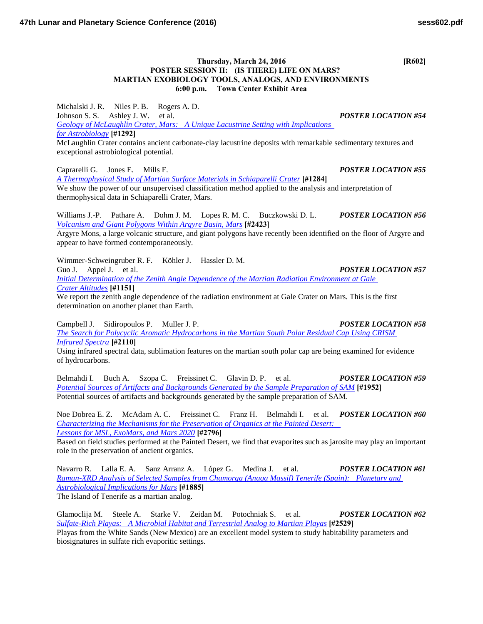## **Thursday, March 24, 2016 [R602] POSTER SESSION II: (IS THERE) LIFE ON MARS? MARTIAN EXOBIOLOGY TOOLS, ANALOGS, AND ENVIRONMENTS 6:00 p.m. Town Center Exhibit Area**

Michalski J. R. Niles P. B. Rogers A. D. Johnson S. S. Ashley J. W. et al. *POSTER LOCATION #54 [Geology of McLaughlin Crater, Mars: A Unique Lacustrine Setting with Implications](http://www.hou.usra.edu/meetings/lpsc2016/pdf/1292.pdf)  [for Astrobiology](http://www.hou.usra.edu/meetings/lpsc2016/pdf/1292.pdf)* **[#1292]** McLaughlin Crater contains ancient carbonate-clay lacustrine deposits with remarkable sedimentary textures and exceptional astrobiological potential.

Caprarelli G. Jones E. Mills F. *POSTER LOCATION #55 [A Thermophysical Study of Martian Surface Materials in Schiaparelli Crater](http://www.hou.usra.edu/meetings/lpsc2016/pdf/1284.pdf)* **[#1284]** We show the power of our unsupervised classification method applied to the analysis and interpretation of thermophysical data in Schiaparelli Crater, Mars.

Williams J.-P. Pathare A. Dohm J. M. Lopes R. M. C. Buczkowski D. L. *POSTER LOCATION #56 [Volcanism and Giant Polygons Within Argyre Basin, Mars](http://www.hou.usra.edu/meetings/lpsc2016/pdf/2423.pdf)* **[#2423]**

Argyre Mons, a large volcanic structure, and giant polygons have recently been identified on the floor of Argyre and appear to have formed contemporaneously.

Wimmer-Schweingruber R. F. Köhler J. Hassler D. M.

Guo J. Appel J. et al. *POSTER LOCATION #57* 

*[Initial Determination of the Zenith Angle Dependence of the Martian Radiation Environment at Gale](http://www.hou.usra.edu/meetings/lpsc2016/pdf/1151.pdf)  [Crater Altitudes](http://www.hou.usra.edu/meetings/lpsc2016/pdf/1151.pdf)* **[#1151]**

We report the zenith angle dependence of the radiation environment at Gale Crater on Mars. This is the first determination on another planet than Earth.

Campbell J. Sidiropoulos P. Muller J. P. *POSTER LOCATION #58*

*[The Search for Polycyclic Aromatic Hydrocarbons in the Martian South Polar Residual Cap Using CRISM](http://www.hou.usra.edu/meetings/lpsc2016/pdf/2110.pdf)  [Infrared Spectra](http://www.hou.usra.edu/meetings/lpsc2016/pdf/2110.pdf)* **[#2110]**

Using infrared spectral data, sublimation features on the martian south polar cap are being examined for evidence of hydrocarbons.

Belmahdi I. Buch A. Szopa C. Freissinet C. Glavin D. P. et al. *POSTER LOCATION #59 [Potential Sources of Artifacts and Backgrounds Generated by the Sample Preparation of SAM](http://www.hou.usra.edu/meetings/lpsc2016/pdf/1952.pdf)* **[#1952]** Potential sources of artifacts and backgrounds generated by the sample preparation of SAM.

Noe Dobrea E. Z. McAdam A. C. Freissinet C. Franz H. Belmahdi I. et al. *POSTER LOCATION #60 [Characterizing the Mechanisms for the Preservation of Organics at the Painted Desert:](http://www.hou.usra.edu/meetings/lpsc2016/pdf/2796.pdf)  [Lessons for MSL, ExoMars, and Mars 2020](http://www.hou.usra.edu/meetings/lpsc2016/pdf/2796.pdf)* **[#2796]**

Based on field studies performed at the Painted Desert, we find that evaporites such as jarosite may play an important role in the preservation of ancient organics.

Navarro R. Lalla E. A. Sanz Arranz A. López G. Medina J. et al. *POSTER LOCATION #61 [Raman-XRD Analysis of Selected Samples from Chamorga \(Anaga Massif\) Tenerife \(Spain\): Planetary and](http://www.hou.usra.edu/meetings/lpsc2016/pdf/1885.pdf)  [Astrobiological Implications for Mars](http://www.hou.usra.edu/meetings/lpsc2016/pdf/1885.pdf)* **[#1885]** The Island of Tenerife as a martian analog.

Glamoclija M. Steele A. Starke V. Zeidan M. Potochniak S. et al. *POSTER LOCATION #62 [Sulfate-Rich Playas: A Microbial Habitat and Terrestrial Analog to Martian Playas](http://www.hou.usra.edu/meetings/lpsc2016/pdf/2529.pdf)* **[#2529]**

Playas from the White Sands (New Mexico) are an excellent model system to study habitability parameters and biosignatures in sulfate rich evaporitic settings.